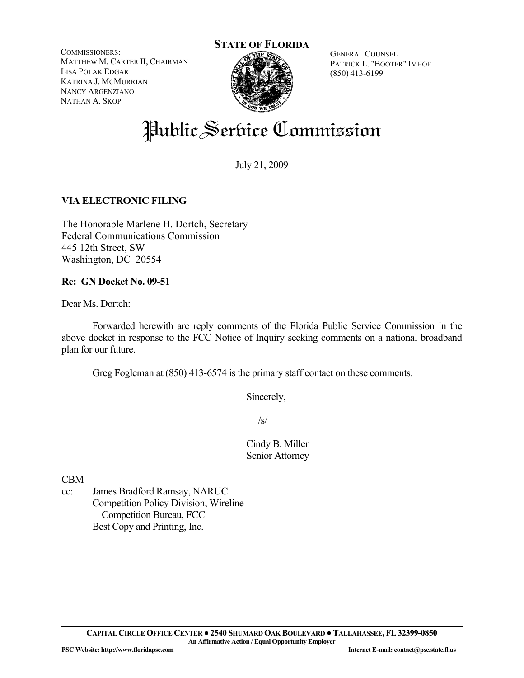COMMISSIONERS: MATTHEW M. CARTER II, CHAIRMAN LISA POLAK EDGAR KATRINA J. MCMURRIAN NANCY ARGENZIANO NATHAN A. SKOP



GENERAL COUNSEL PATRICK L. "BOOTER" IMHOF (850) 413-6199

# Public Serbice Commission

July 21, 2009

## **VIA ELECTRONIC FILING**

The Honorable Marlene H. Dortch, Secretary Federal Communications Commission 445 12th Street, SW Washington, DC 20554

#### **Re: GN Docket No. 09-51**

Dear Ms. Dortch:

 Forwarded herewith are reply comments of the Florida Public Service Commission in the above docket in response to the FCC Notice of Inquiry seeking comments on a national broadband plan for our future.

Greg Fogleman at (850) 413-6574 is the primary staff contact on these comments.

Sincerely,

 $\sqrt{s}$ /s/

 Cindy B. Miller Senior Attorney

CBM

cc: James Bradford Ramsay, NARUC Competition Policy Division, Wireline Competition Bureau, FCC Best Copy and Printing, Inc.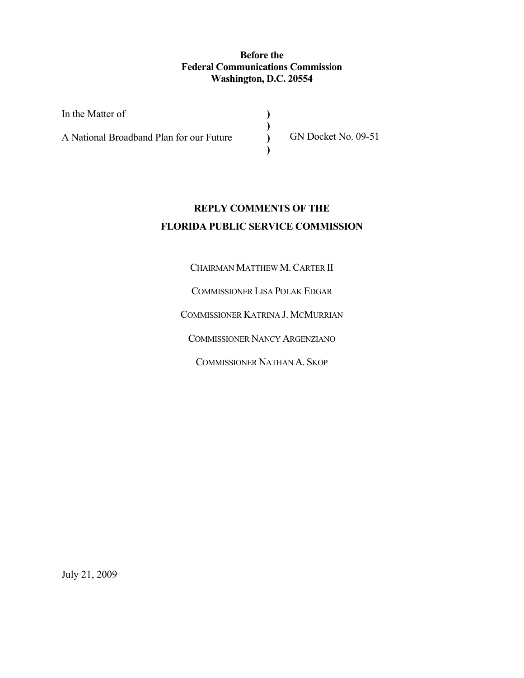### **Before the Federal Communications Commission Washington, D.C. 20554**

**) ) ) )** 

| In the Matter of                         |  |
|------------------------------------------|--|
| A National Broadband Plan for our Future |  |

GN Docket No. 09-51

# **REPLY COMMENTS OF THE FLORIDA PUBLIC SERVICE COMMISSION**

CHAIRMAN MATTHEW M.CARTER II

COMMISSIONER LISA POLAK EDGAR

COMMISSIONER KATRINA J. MCMURRIAN

COMMISSIONER NANCY ARGENZIANO

COMMISSIONER NATHAN A. SKOP

July 21, 2009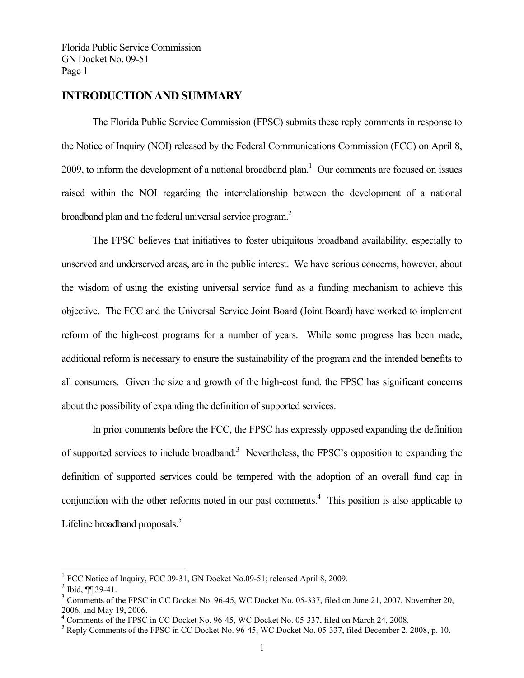## **INTRODUCTION AND SUMMARY**

 The Florida Public Service Commission (FPSC) submits these reply comments in response to the Notice of Inquiry (NOI) released by the Federal Communications Commission (FCC) on April 8, 2009, to inform the development of a national broadband plan. $1$  Our comments are focused on issues raised within the NOI regarding the interrelationship between the development of a national broadband plan and the federal universal service program.<sup>2</sup>

 The FPSC believes that initiatives to foster ubiquitous broadband availability, especially to unserved and underserved areas, are in the public interest. We have serious concerns, however, about the wisdom of using the existing universal service fund as a funding mechanism to achieve this objective. The FCC and the Universal Service Joint Board (Joint Board) have worked to implement reform of the high-cost programs for a number of years. While some progress has been made, additional reform is necessary to ensure the sustainability of the program and the intended benefits to all consumers. Given the size and growth of the high-cost fund, the FPSC has significant concerns about the possibility of expanding the definition of supported services.

 In prior comments before the FCC, the FPSC has expressly opposed expanding the definition of supported services to include broadband.<sup>3</sup> Nevertheless, the FPSC's opposition to expanding the definition of supported services could be tempered with the adoption of an overall fund cap in conjunction with the other reforms noted in our past comments.<sup>4</sup> This position is also applicable to Lifeline broadband proposals.<sup>5</sup>

 $\overline{a}$ 

<sup>1</sup> FCC Notice of Inquiry, FCC 09-31, GN Docket No.09-51; released April 8, 2009.

 $^{2}$  Ibid, ¶¶ 39-41.

 $3$  Comments of the FPSC in CC Docket No. 96-45, WC Docket No. 05-337, filed on June 21, 2007, November 20, 2006, and May 19, 2006.

<sup>&</sup>lt;sup>4</sup> Comments of the FPSC in CC Docket No. 96-45, WC Docket No. 05-337, filed on March 24, 2008.

<sup>&</sup>lt;sup>5</sup> Reply Comments of the FPSC in CC Docket No. 96-45, WC Docket No. 05-337, filed December 2, 2008, p. 10.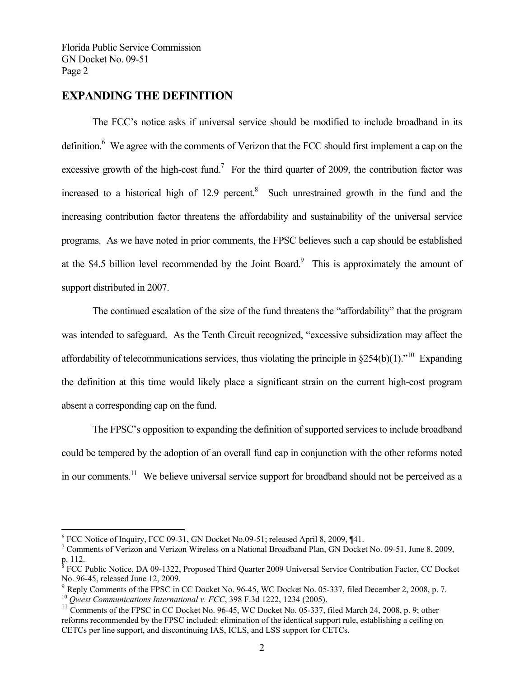## **EXPANDING THE DEFINITION**

The FCC's notice asks if universal service should be modified to include broadband in its definition.<sup>6</sup> We agree with the comments of Verizon that the FCC should first implement a cap on the excessive growth of the high-cost fund.<sup>7</sup> For the third quarter of 2009, the contribution factor was increased to a historical high of  $12.9$  percent.<sup>8</sup> Such unrestrained growth in the fund and the increasing contribution factor threatens the affordability and sustainability of the universal service programs. As we have noted in prior comments, the FPSC believes such a cap should be established at the \$4.5 billion level recommended by the Joint Board. $\degree$  This is approximately the amount of support distributed in 2007.

The continued escalation of the size of the fund threatens the "affordability" that the program was intended to safeguard. As the Tenth Circuit recognized, "excessive subsidization may affect the affordability of telecommunications services, thus violating the principle in  $$254(b)(1)$ .<sup>"10</sup> Expanding the definition at this time would likely place a significant strain on the current high-cost program absent a corresponding cap on the fund.

The FPSC's opposition to expanding the definition of supported services to include broadband could be tempered by the adoption of an overall fund cap in conjunction with the other reforms noted in our comments.<sup>11</sup> We believe universal service support for broadband should not be perceived as a

 $\overline{a}$ 

<sup>&</sup>lt;sup>6</sup> FCC Notice of Inquiry, FCC 09-31, GN Docket No.09-51; released April 8, 2009, ¶41.

<sup>&</sup>lt;sup>7</sup> Comments of Verizon and Verizon Wireless on a National Broadband Plan, GN Docket No. 09-51, June 8, 2009, p. 112.

<sup>&</sup>lt;sup>8</sup> FCC Public Notice, DA 09-1322, Proposed Third Quarter 2009 Universal Service Contribution Factor, CC Docket No. 96-45, released June 12, 2009.

 $9$  Reply Comments of the FPSC in CC Docket No. 96-45, WC Docket No. 05-337, filed December 2, 2008, p. 7. <sup>10</sup> Owest Communications International v. FCC, 398 F.3d 1222, 1234 (2005).

<sup>&</sup>lt;sup>11</sup> Comments of the FPSC in CC Docket No. 96-45, WC Docket No. 05-337, filed March 24, 2008, p. 9; other reforms recommended by the FPSC included: elimination of the identical support rule, establishing a ceiling on CETCs per line support, and discontinuing IAS, ICLS, and LSS support for CETCs.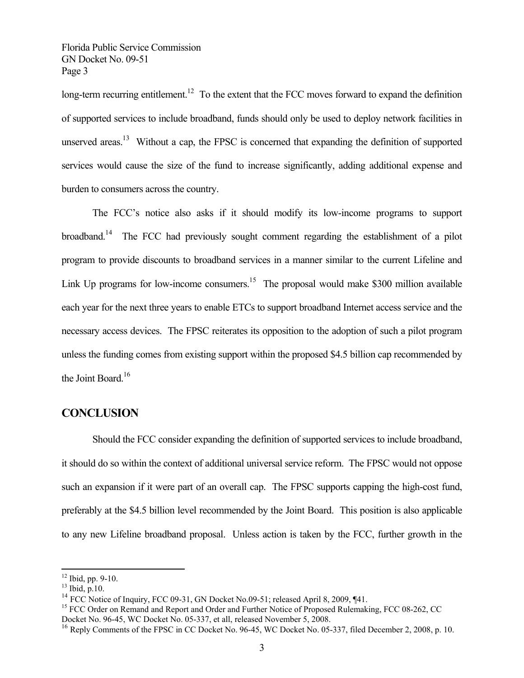long-term recurring entitlement.<sup>12</sup> To the extent that the FCC moves forward to expand the definition of supported services to include broadband, funds should only be used to deploy network facilities in unserved areas.<sup>13</sup> Without a cap, the FPSC is concerned that expanding the definition of supported services would cause the size of the fund to increase significantly, adding additional expense and burden to consumers across the country.

The FCC's notice also asks if it should modify its low-income programs to support broadband.<sup>14</sup> The FCC had previously sought comment regarding the establishment of a pilot program to provide discounts to broadband services in a manner similar to the current Lifeline and Link Up programs for low-income consumers.<sup>15</sup> The proposal would make \$300 million available each year for the next three years to enable ETCs to support broadband Internet access service and the necessary access devices. The FPSC reiterates its opposition to the adoption of such a pilot program unless the funding comes from existing support within the proposed \$4.5 billion cap recommended by the Joint Board.<sup>16</sup>

## **CONCLUSION**

 Should the FCC consider expanding the definition of supported services to include broadband, it should do so within the context of additional universal service reform. The FPSC would not oppose such an expansion if it were part of an overall cap. The FPSC supports capping the high-cost fund, preferably at the \$4.5 billion level recommended by the Joint Board. This position is also applicable to any new Lifeline broadband proposal. Unless action is taken by the FCC, further growth in the

 $\overline{a}$ 

 $12$  Ibid, pp. 9-10.

 $^{13}$  Ibid, p.10.

 $14$  FCC Notice of Inquiry, FCC 09-31, GN Docket No.09-51; released April 8, 2009, ¶41.

<sup>&</sup>lt;sup>15</sup> FCC Order on Remand and Report and Order and Further Notice of Proposed Rulemaking, FCC 08-262, CC Docket No. 96-45, WC Docket No. 05-337, et all, released November 5, 2008.

<sup>&</sup>lt;sup>16</sup> Reply Comments of the FPSC in CC Docket No. 96-45, WC Docket No. 05-337, filed December 2, 2008, p. 10.